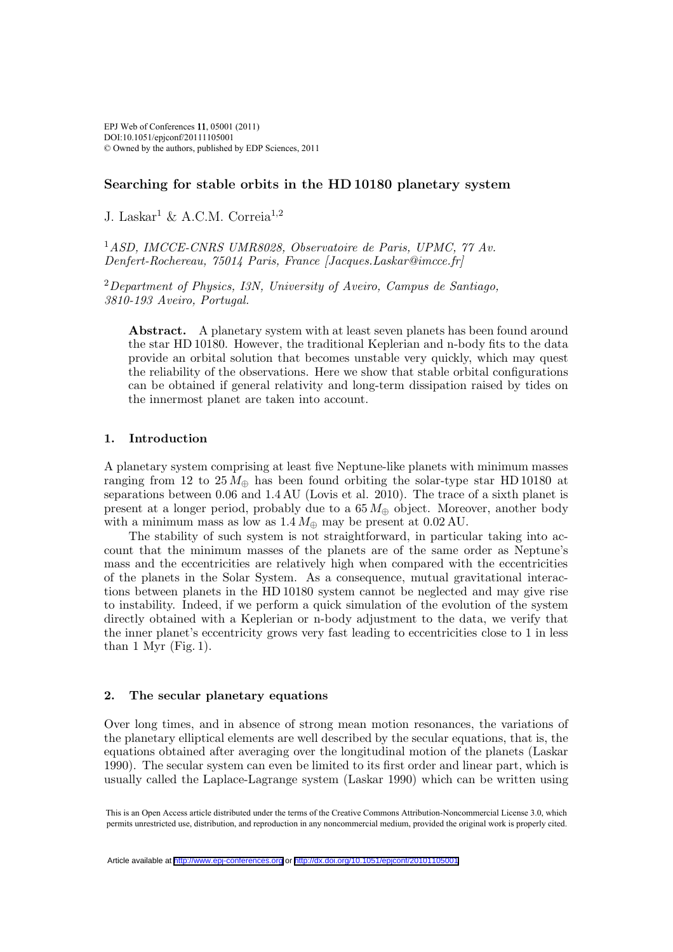# Searching for stable orbits in the HD 10180 planetary system

J. Laskar<sup>1</sup> & A.C.M. Correia<sup>1,2</sup>

<sup>1</sup>ASD, IMCCE-CNRS UMR8028, Observatoire de Paris, UPMC, 77 Av. Denfert-Rochereau, 75014 Paris, France [Jacques.Laskar@imcce.fr]

<sup>2</sup>Department of Physics, I3N, University of Aveiro, Campus de Santiago, 3810-193 Aveiro, Portugal.

Abstract. A planetary system with at least seven planets has been found around the star HD 10180. However, the traditional Keplerian and n-body fits to the data provide an orbital solution that becomes unstable very quickly, which may quest the reliability of the observations. Here we show that stable orbital configurations can be obtained if general relativity and long-term dissipation raised by tides on the innermost planet are taken into account.

### 1. Introduction

A planetary system comprising at least five Neptune-like planets with minimum masses ranging from 12 to 25  $M_{\oplus}$  has been found orbiting the solar-type star HD 10180 at separations between 0.06 and 1.4 AU (Lovis et al. 2010). The trace of a sixth planet is present at a longer period, probably due to a  $65 M_{\oplus}$  object. Moreover, another body with a minimum mass as low as  $1.4 M_{\oplus}$  may be present at 0.02 AU.

The stability of such system is not straightforward, in particular taking into account that the minimum masses of the planets are of the same order as Neptune's mass and the eccentricities are relatively high when compared with the eccentricities of the planets in the Solar System. As a consequence, mutual gravitational interactions between planets in the HD 10180 system cannot be neglected and may give rise to instability. Indeed, if we perform a quick simulation of the evolution of the system directly obtained with a Keplerian or n-body adjustment to the data, we verify that the inner planet's eccentricity grows very fast leading to eccentricities close to 1 in less than 1 Myr  $(Fig. 1)$ .

### 2. The secular planetary equations

Over long times, and in absence of strong mean motion resonances, the variations of the planetary elliptical elements are well described by the secular equations, that is, the equations obtained after averaging over the longitudinal motion of the planets (Laskar 1990). The secular system can even be limited to its first order and linear part, which is usually called the Laplace-Lagrange system (Laskar 1990) which can be written using

This is an Open Access article distributed under the terms of the Creative Commons Attribution-Noncommercial License 3.0, which permits unrestricted use, distribution, and reproduction in any noncommercial medium, provided the original work is properly cited.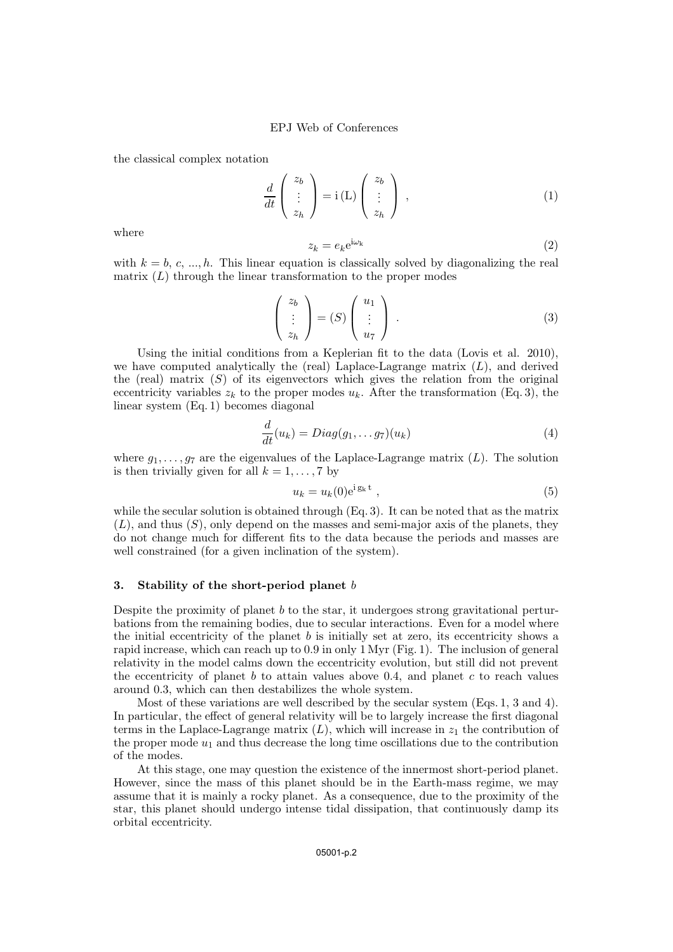the classical complex notation

$$
\frac{d}{dt}\begin{pmatrix} z_b \\ \vdots \\ z_h \end{pmatrix} = i(L)\begin{pmatrix} z_b \\ \vdots \\ z_h \end{pmatrix} , \qquad (1)
$$

where

$$
z_k = e_k e^{i\omega_k} \tag{2}
$$

with  $k = b, c, ..., h$ . This linear equation is classically solved by diagonalizing the real matrix  $(L)$  through the linear transformation to the proper modes

$$
\begin{pmatrix} z_b \\ \vdots \\ z_h \end{pmatrix} = (S) \begin{pmatrix} u_1 \\ \vdots \\ u_7 \end{pmatrix} . \tag{3}
$$

Using the initial conditions from a Keplerian fit to the data (Lovis et al. 2010), we have computed analytically the (real) Laplace-Lagrange matrix  $(L)$ , and derived the (real) matrix  $(S)$  of its eigenvectors which gives the relation from the original eccentricity variables  $z_k$  to the proper modes  $u_k$ . After the transformation (Eq. 3), the linear system (Eq. 1) becomes diagonal

$$
\frac{d}{dt}(u_k) = Diag(g_1, \dots g_7)(u_k) \tag{4}
$$

where  $g_1, \ldots, g_7$  are the eigenvalues of the Laplace-Lagrange matrix  $(L)$ . The solution is then trivially given for all  $k = 1, \ldots, 7$  by

$$
u_k = u_k(0)e^{i g_k t} , \qquad (5)
$$

while the secular solution is obtained through (Eq. 3). It can be noted that as the matrix  $(L)$ , and thus  $(S)$ , only depend on the masses and semi-major axis of the planets, they do not change much for different fits to the data because the periods and masses are well constrained (for a given inclination of the system).

#### 3. Stability of the short-period planet  $b$

Despite the proximity of planet  $b$  to the star, it undergoes strong gravitational perturbations from the remaining bodies, due to secular interactions. Even for a model where the initial eccentricity of the planet  $b$  is initially set at zero, its eccentricity shows a rapid increase, which can reach up to 0.9 in only 1 Myr (Fig. 1). The inclusion of general relativity in the model calms down the eccentricity evolution, but still did not prevent the eccentricity of planet  $b$  to attain values above 0.4, and planet  $c$  to reach values around 0.3, which can then destabilizes the whole system.

Most of these variations are well described by the secular system (Eqs. 1, 3 and 4). In particular, the effect of general relativity will be to largely increase the first diagonal terms in the Laplace-Lagrange matrix  $(L)$ , which will increase in  $z<sub>1</sub>$  the contribution of the proper mode  $u_1$  and thus decrease the long time oscillations due to the contribution of the modes.

At this stage, one may question the existence of the innermost short-period planet. However, since the mass of this planet should be in the Earth-mass regime, we may assume that it is mainly a rocky planet. As a consequence, due to the proximity of the star, this planet should undergo intense tidal dissipation, that continuously damp its orbital eccentricity.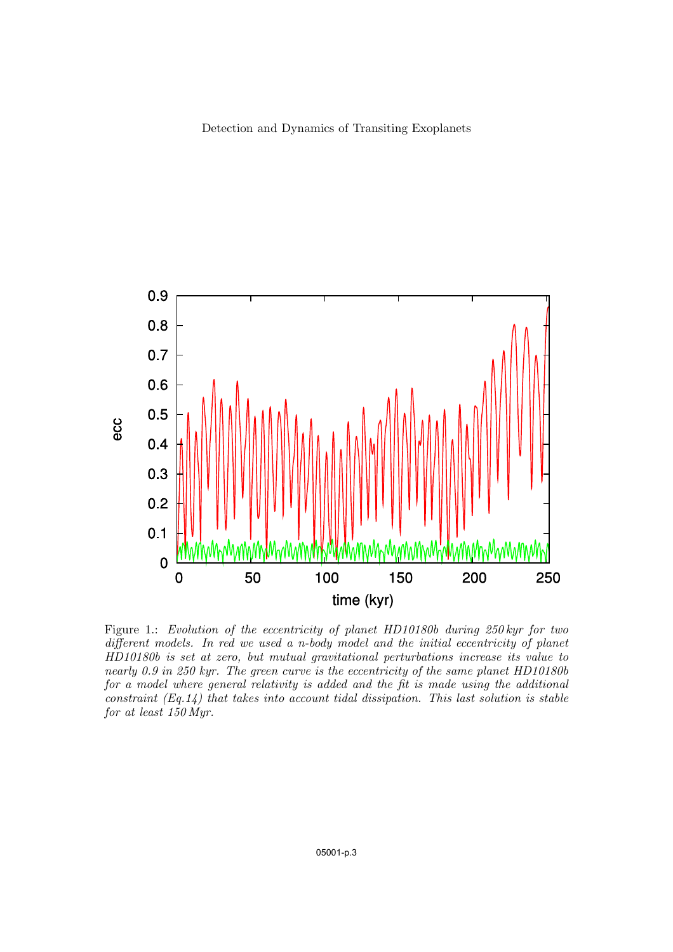

Figure 1.: Evolution of the eccentricity of planet HD10180b during 250 kyr for two different models. In red we used a n-body model and the initial eccentricity of planet HD10180b is set at zero, but mutual gravitational perturbations increase its value to nearly 0.9 in 250 kyr. The green curve is the eccentricity of the same planet HD10180b for a model where general relativity is added and the fit is made using the additional constraint  $(Eq.14)$  that takes into account tidal dissipation. This last solution is stable for at least 150 Myr.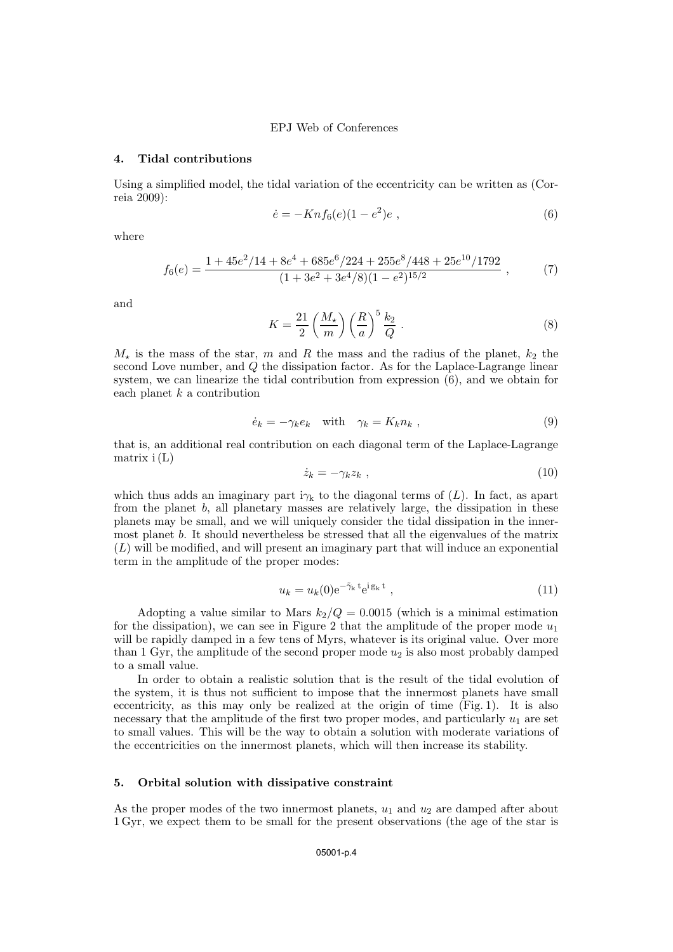#### 4. Tidal contributions

Using a simplified model, the tidal variation of the eccentricity can be written as (Correia 2009):

$$
\dot{e} = -Knf_6(e)(1 - e^2)e , \qquad (6)
$$

where

$$
f_6(e) = \frac{1 + 45e^2/14 + 8e^4 + 685e^6/224 + 255e^8/448 + 25e^{10}/1792}{(1 + 3e^2 + 3e^4/8)(1 - e^2)^{15/2}} ,\tag{7}
$$

and

$$
K = \frac{21}{2} \left(\frac{M_{\star}}{m}\right) \left(\frac{R}{a}\right)^{5} \frac{k_2}{Q} . \tag{8}
$$

 $M_{\star}$  is the mass of the star, m and R the mass and the radius of the planet,  $k_2$  the second Love number, and Q the dissipation factor. As for the Laplace-Lagrange linear system, we can linearize the tidal contribution from expression (6), and we obtain for each planet  $k$  a contribution

$$
\dot{e}_k = -\gamma_k e_k \quad \text{with} \quad \gamma_k = K_k n_k \,, \tag{9}
$$

that is, an additional real contribution on each diagonal term of the Laplace-Lagrange matrix  $i(L)$ 

$$
\dot{z}_k = -\gamma_k z_k \tag{10}
$$

which thus adds an imaginary part  $i\gamma_k$  to the diagonal terms of  $(L)$ . In fact, as apart from the planet  $b$ , all planetary masses are relatively large, the dissipation in these planets may be small, and we will uniquely consider the tidal dissipation in the innermost planet b. It should nevertheless be stressed that all the eigenvalues of the matrix  $(L)$  will be modified, and will present an imaginary part that will induce an exponential term in the amplitude of the proper modes:

$$
u_k = u_k(0) e^{-\tilde{\gamma}_k t} e^{i g_k t} , \qquad (11)
$$

Adopting a value similar to Mars  $k_2/Q = 0.0015$  (which is a minimal estimation for the dissipation), we can see in Figure 2 that the amplitude of the proper mode  $u_1$ will be rapidly damped in a few tens of Myrs, whatever is its original value. Over more than 1 Gyr, the amplitude of the second proper mode  $u_2$  is also most probably damped to a small value.

In order to obtain a realistic solution that is the result of the tidal evolution of the system, it is thus not sufficient to impose that the innermost planets have small eccentricity, as this may only be realized at the origin of time (Fig. 1). It is also necessary that the amplitude of the first two proper modes, and particularly  $u_1$  are set to small values. This will be the way to obtain a solution with moderate variations of the eccentricities on the innermost planets, which will then increase its stability.

#### 5. Orbital solution with dissipative constraint

As the proper modes of the two innermost planets,  $u_1$  and  $u_2$  are damped after about 1 Gyr, we expect them to be small for the present observations (the age of the star is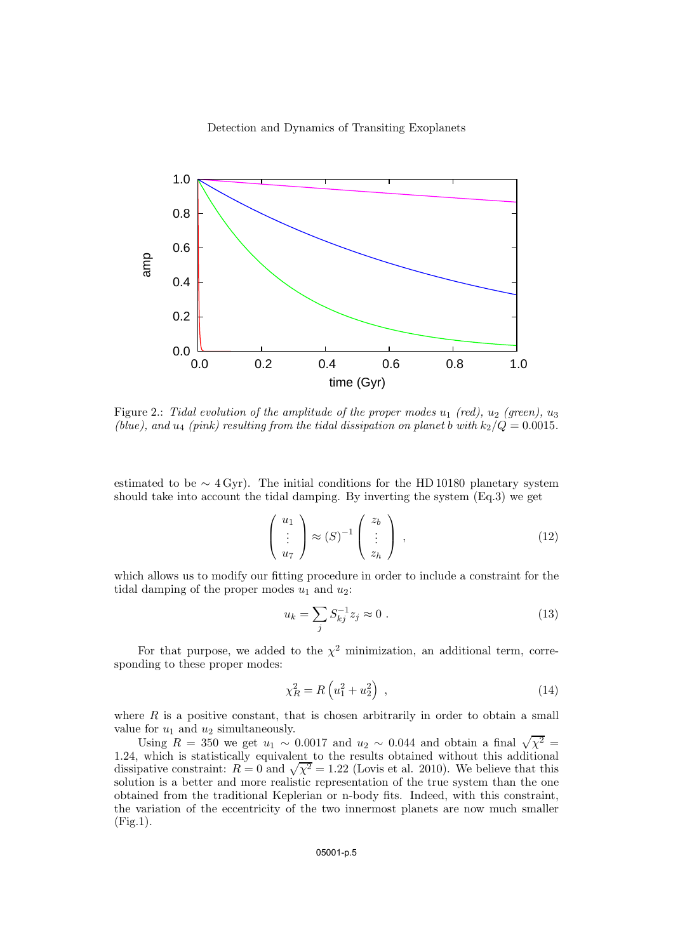

Figure 2.: Tidal evolution of the amplitude of the proper modes  $u_1$  (red),  $u_2$  (green),  $u_3$ (blue), and  $u_4$  (pink) resulting from the tidal dissipation on planet b with  $k_2/Q = 0.0015$ .

estimated to be  $\sim 4 \,\text{Gyr}$ ). The initial conditions for the HD 10180 planetary system should take into account the tidal damping. By inverting the system (Eq.3) we get

$$
\begin{pmatrix} u_1 \\ \vdots \\ u_7 \end{pmatrix} \approx (S)^{-1} \begin{pmatrix} z_b \\ \vdots \\ z_h \end{pmatrix} , \qquad (12)
$$

which allows us to modify our fitting procedure in order to include a constraint for the tidal damping of the proper modes  $u_1$  and  $u_2$ :

$$
u_k = \sum_j S_{kj}^{-1} z_j \approx 0 \; . \tag{13}
$$

For that purpose, we added to the  $\chi^2$  minimization, an additional term, corresponding to these proper modes:

$$
\chi_R^2 = R \left( u_1^2 + u_2^2 \right) \,, \tag{14}
$$

where  $R$  is a positive constant, that is chosen arbitrarily in order to obtain a small value for  $u_1$  and  $u_2$  simultaneously.

Using  $R = 350$  we get  $u_1 \sim 0.0017$  and  $u_2 \sim 0.044$  and obtain a final  $\sqrt{\chi^2}$  = 1.24, which is statistically equivalent to the results obtained without this additional dissipative constraint:  $R = 0$  and  $\sqrt{\chi^2} = 1.22$  (Lovis et al. 2010). We believe that this solution is a better and more realistic representation of the true system than the one obtained from the traditional Keplerian or n-body fits. Indeed, with this constraint, the variation of the eccentricity of the two innermost planets are now much smaller (Fig.1).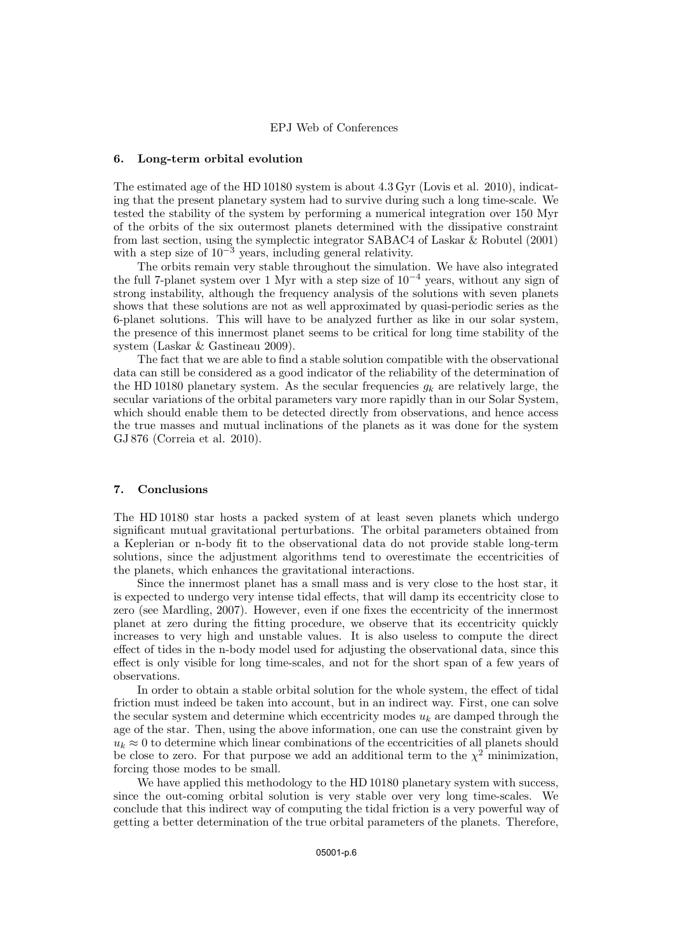### 6. Long-term orbital evolution

The estimated age of the HD 10180 system is about 4.3 Gyr (Lovis et al. 2010), indicating that the present planetary system had to survive during such a long time-scale. We tested the stability of the system by performing a numerical integration over 150 Myr of the orbits of the six outermost planets determined with the dissipative constraint from last section, using the symplectic integrator SABAC4 of Laskar & Robutel (2001) with a step size of  $10^{-3}$  years, including general relativity.

The orbits remain very stable throughout the simulation. We have also integrated the full 7-planet system over 1 Myr with a step size of  $10^{-4}$  years, without any sign of strong instability, although the frequency analysis of the solutions with seven planets shows that these solutions are not as well approximated by quasi-periodic series as the 6-planet solutions. This will have to be analyzed further as like in our solar system, the presence of this innermost planet seems to be critical for long time stability of the system (Laskar & Gastineau 2009).

The fact that we are able to find a stable solution compatible with the observational data can still be considered as a good indicator of the reliability of the determination of the HD 10180 planetary system. As the secular frequencies  $q_k$  are relatively large, the secular variations of the orbital parameters vary more rapidly than in our Solar System, which should enable them to be detected directly from observations, and hence access the true masses and mutual inclinations of the planets as it was done for the system GJ 876 (Correia et al. 2010).

#### 7. Conclusions

The HD 10180 star hosts a packed system of at least seven planets which undergo significant mutual gravitational perturbations. The orbital parameters obtained from a Keplerian or n-body fit to the observational data do not provide stable long-term solutions, since the adjustment algorithms tend to overestimate the eccentricities of the planets, which enhances the gravitational interactions.

Since the innermost planet has a small mass and is very close to the host star, it is expected to undergo very intense tidal effects, that will damp its eccentricity close to zero (see Mardling, 2007). However, even if one fixes the eccentricity of the innermost planet at zero during the fitting procedure, we observe that its eccentricity quickly increases to very high and unstable values. It is also useless to compute the direct effect of tides in the n-body model used for adjusting the observational data, since this effect is only visible for long time-scales, and not for the short span of a few years of observations.

In order to obtain a stable orbital solution for the whole system, the effect of tidal friction must indeed be taken into account, but in an indirect way. First, one can solve the secular system and determine which eccentricity modes  $u_k$  are damped through the age of the star. Then, using the above information, one can use the constraint given by  $u_k \approx 0$  to determine which linear combinations of the eccentricities of all planets should be close to zero. For that purpose we add an additional term to the  $\chi^2$  minimization, forcing those modes to be small.

We have applied this methodology to the HD 10180 planetary system with success, since the out-coming orbital solution is very stable over very long time-scales. We conclude that this indirect way of computing the tidal friction is a very powerful way of getting a better determination of the true orbital parameters of the planets. Therefore,